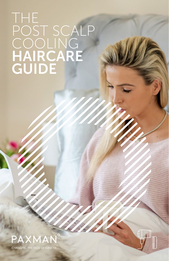## THE POST SCALP COOLING HAIRCARE GUIDE



**CHANGING THE FACE OF CANCER** 

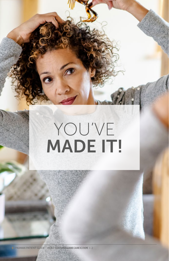# YOU'VE MADE IT!

1 | PAXMAN PATIENT GUIDE - POSD COOLING GARE CARID GUIDE 1-2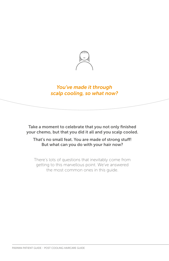

#### *You've made it through scalp cooling, so what now?*

Take a moment to celebrate that you not only finished your chemo, but that you did it all and you scalp cooled.

That's no small feat. You are made of strong stuff! But what can you do with your hair now?

There's lots of questions that inevitably come from getting to this marvellous point. We've answered the most common ones in this guide.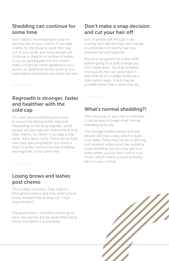#### Shedding can continue for some time

Don't expect the shedding to stop on the final day of your chemo. It can take a while for the drugs to work their way out of your body, and many people will continue to shed for a number of weeks. If you are getting past the two month mark, it might be worth speaking to your doctor, as additional factors (such as low haemoglobin/anaemia) can cause hair loss.

#### Don't make a snap decision and cut your hair off

Lots of people get through scalp cooling then feel like they can't handle a combination of patchy hair loss, retained hair and regrowth.

But try to be patient for a little while before going for a style change you don't really want. You'd be amazed how quickly hair can grow back in and what all of a sudden works as a style option again. A bob may be possible rather than a pixie crop etc.

#### Regrowth is stronger, faster and healthier with the cold cap

You have done everything you could to ensure the best possible regrowth. Depending on the drug regimen, some people will see regrowth before the end of their chemo, for others it can take a little while. But it does come. There will be fluffy new hairs sprouting before you know it. And it is pretty common to see shedding and regrowth at the same time.

#### What's normal shedding?!

After focusing on your hair so intensely, it can be easy to forget what 'normal' shedding looks like.

The average healthy person will lose around 100 hairs a day, which is quite a lot really. There may not be a lightning bolt moment where your hair suddenly stops shedding, but you may get to a point where you just don't notice it so much, which means you are probably back to your normal.

#### Losing brows and lashes post chemo

This is really common. They hold on throughout chemo and then when you've finally finished they all drop out. Cruel beyond belief!

The good news is that they tend to grow back very quickly, but be aware that losing brows and lashes is a possibility.

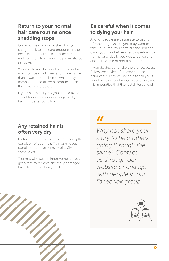#### Return to your normal hair care routine once shedding stops

Once you reach normal shedding you can go back to standard products and use heat styling tools again. Just be gentle and go carefully, as your scalp may still be sensitive.

You should also be mindful that your hair may now be much drier and more fragile than it was before chemo, which may mean you need different products than those you used before.

If your hair is really dry you should avoid straighteners and curling tongs until your hair is in better condition.

#### Be careful when it comes to dying your hair

A lot of people are desperate to get rid of roots or greys, but you may want to take your time. You certainly shouldn't be dying your hair before shedding returns to normal and ideally you would be waiting another couple of months after that.

If you do decide to take the plunge, please follow the advice of an experienced hairdresser. They will be able to tell you if your hair is in good enough condition, and it is imperative that they patch test ahead of time.

#### Any retained hair is often very dry

It's time to start focusing on improving the condition of your hair. Try masks, deep conditioning treatments or oils. Give it some love!

You may also see an improvement if you get a trim to remove any really damaged hair. Hang on in there, it will get better.

### 77

*Why not share your story to help others going through the same? Contact us through our website or engage with people in our Facebook group.*